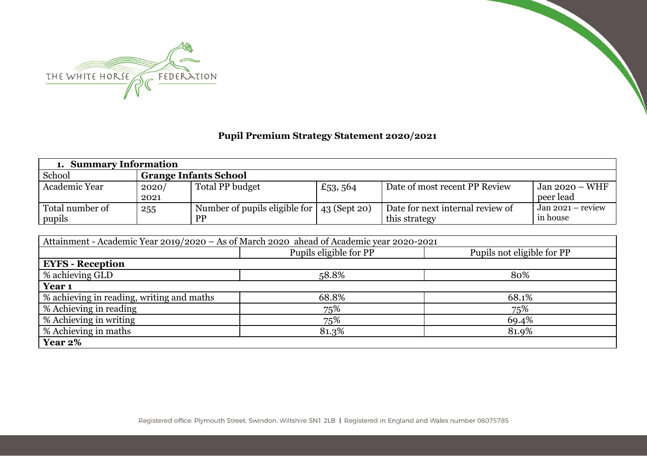

## **Pupil Premium Strategy Statement 2020/2021**

| 1. Summary Information    |               |                                                                 |         |                                                   |                                           |  |
|---------------------------|---------------|-----------------------------------------------------------------|---------|---------------------------------------------------|-------------------------------------------|--|
| School                    |               | <b>Grange Infants School</b>                                    |         |                                                   |                                           |  |
| Academic Year             | 2020/<br>2021 | Total PP budget                                                 | £53,564 | Date of most recent PP Review                     | $\frac{1}{2}$ Jan 2020 – WHF<br>peer lead |  |
| Total number of<br>pupils | 255           | Number of pupils eligible for $\vert$ 43 (Sept 20)<br><b>PP</b> |         | Date for next internal review of<br>this strategy | $Jan 2021 - review$<br>in house           |  |

| Attainment - Academic Year 2019/2020 – As of March 2020 ahead of Academic year 2020-2021 |                        |                            |  |  |  |  |  |  |
|------------------------------------------------------------------------------------------|------------------------|----------------------------|--|--|--|--|--|--|
|                                                                                          | Pupils eligible for PP | Pupils not eligible for PP |  |  |  |  |  |  |
| <b>EYFS - Reception</b>                                                                  |                        |                            |  |  |  |  |  |  |
| % achieving GLD                                                                          | 58.8%                  | 80%                        |  |  |  |  |  |  |
| Year <sub>1</sub>                                                                        |                        |                            |  |  |  |  |  |  |
| % achieving in reading, writing and maths                                                | 68.8%                  | 68.1%                      |  |  |  |  |  |  |
| % Achieving in reading                                                                   | 75%                    | 75%                        |  |  |  |  |  |  |
| % Achieving in writing                                                                   | 75%                    | 69.4%                      |  |  |  |  |  |  |
| % Achieving in maths                                                                     | 81.3%                  | 81.9%                      |  |  |  |  |  |  |
| Year 2%                                                                                  |                        |                            |  |  |  |  |  |  |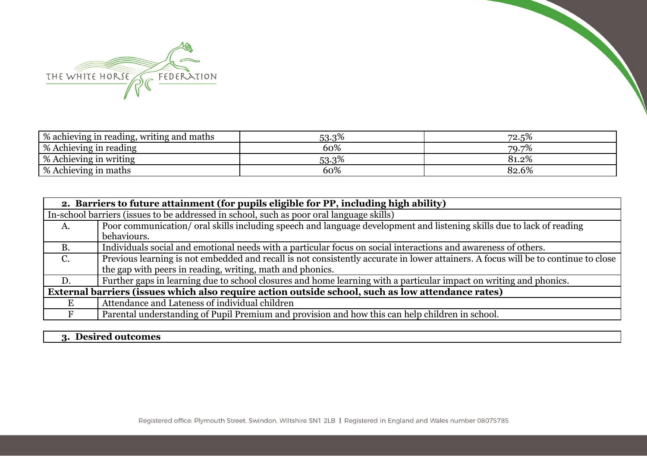

| \% achieving in reading, writing and maths | 53.3% | 72.5% |
|--------------------------------------------|-------|-------|
| \% Achieving in reading                    | 60%   | 79.7% |
| <b>% Achieving in writing</b>              | 53.3% | 81.2% |
| <b>% Achieving in maths</b>                | 60%   | 82.6% |

|             | 2. Barriers to future attainment (for pupils eligible for PP, including high ability)                                              |  |  |  |  |  |
|-------------|------------------------------------------------------------------------------------------------------------------------------------|--|--|--|--|--|
|             | In-school barriers (issues to be addressed in school, such as poor oral language skills)                                           |  |  |  |  |  |
| A.          | Poor communication/ oral skills including speech and language development and listening skills due to lack of reading              |  |  |  |  |  |
|             | behaviours.                                                                                                                        |  |  |  |  |  |
| <b>B.</b>   | Individuals social and emotional needs with a particular focus on social interactions and awareness of others.                     |  |  |  |  |  |
| $C_{\cdot}$ | Previous learning is not embedded and recall is not consistently accurate in lower attainers. A focus will be to continue to close |  |  |  |  |  |
|             | the gap with peers in reading, writing, math and phonics.                                                                          |  |  |  |  |  |
| D.          | Further gaps in learning due to school closures and home learning with a particular impact on writing and phonics.                 |  |  |  |  |  |
|             | External barriers (issues which also require action outside school, such as low attendance rates)                                  |  |  |  |  |  |
|             | Attendance and Lateness of individual children                                                                                     |  |  |  |  |  |
|             | Parental understanding of Pupil Premium and provision and how this can help children in school.                                    |  |  |  |  |  |

## **3. Desired outcomes**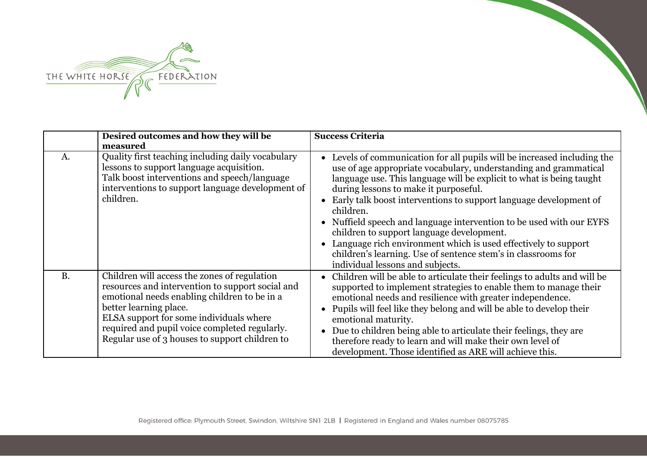

|           | Desired outcomes and how they will be                                                                                                                                                                                                                                                                                    | <b>Success Criteria</b>                                                                                                                                                                                                                                                                                                                                                                                                                                                                                                                                                                                                                     |
|-----------|--------------------------------------------------------------------------------------------------------------------------------------------------------------------------------------------------------------------------------------------------------------------------------------------------------------------------|---------------------------------------------------------------------------------------------------------------------------------------------------------------------------------------------------------------------------------------------------------------------------------------------------------------------------------------------------------------------------------------------------------------------------------------------------------------------------------------------------------------------------------------------------------------------------------------------------------------------------------------------|
|           | measured                                                                                                                                                                                                                                                                                                                 |                                                                                                                                                                                                                                                                                                                                                                                                                                                                                                                                                                                                                                             |
| A.        | Quality first teaching including daily vocabulary<br>lessons to support language acquisition.<br>Talk boost interventions and speech/language<br>interventions to support language development of<br>children.                                                                                                           | • Levels of communication for all pupils will be increased including the<br>use of age appropriate vocabulary, understanding and grammatical<br>language use. This language will be explicit to what is being taught<br>during lessons to make it purposeful.<br>Early talk boost interventions to support language development of<br>children.<br>Nuffield speech and language intervention to be used with our EYFS<br>children to support language development.<br>• Language rich environment which is used effectively to support<br>children's learning. Use of sentence stem's in classrooms for<br>individual lessons and subjects. |
| <b>B.</b> | Children will access the zones of regulation<br>resources and intervention to support social and<br>emotional needs enabling children to be in a<br>better learning place.<br>ELSA support for some individuals where<br>required and pupil voice completed regularly.<br>Regular use of 3 houses to support children to | Children will be able to articulate their feelings to adults and will be<br>supported to implement strategies to enable them to manage their<br>emotional needs and resilience with greater independence.<br>Pupils will feel like they belong and will be able to develop their<br>emotional maturity.<br>Due to children being able to articulate their feelings, they are<br>therefore ready to learn and will make their own level of<br>development. Those identified as ARE will achieve this.                                                                                                                                        |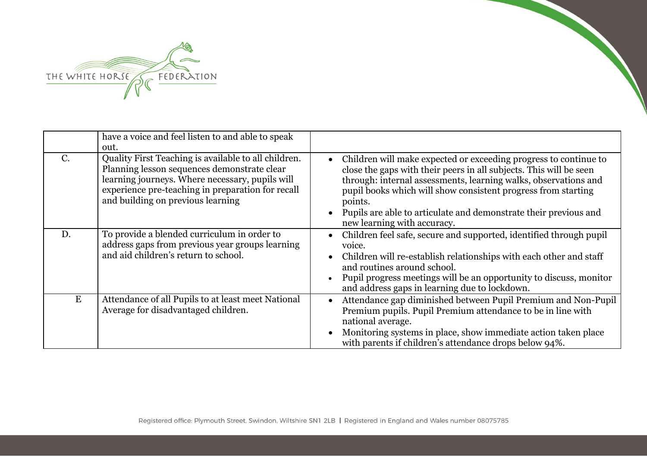

|             | have a voice and feel listen to and able to speak<br>out.                                                                                                                                                                                        |                                                                                                                                                                                                                                                                                                                                                                                                       |
|-------------|--------------------------------------------------------------------------------------------------------------------------------------------------------------------------------------------------------------------------------------------------|-------------------------------------------------------------------------------------------------------------------------------------------------------------------------------------------------------------------------------------------------------------------------------------------------------------------------------------------------------------------------------------------------------|
| $C_{\cdot}$ | Quality First Teaching is available to all children.<br>Planning lesson sequences demonstrate clear<br>learning journeys. Where necessary, pupils will<br>experience pre-teaching in preparation for recall<br>and building on previous learning | Children will make expected or exceeding progress to continue to<br>$\bullet$<br>close the gaps with their peers in all subjects. This will be seen<br>through: internal assessments, learning walks, observations and<br>pupil books which will show consistent progress from starting<br>points.<br>Pupils are able to articulate and demonstrate their previous and<br>new learning with accuracy. |
| D.          | To provide a blended curriculum in order to<br>address gaps from previous year groups learning<br>and aid children's return to school.                                                                                                           | Children feel safe, secure and supported, identified through pupil<br>voice.<br>Children will re-establish relationships with each other and staff<br>$\bullet$<br>and routines around school.<br>Pupil progress meetings will be an opportunity to discuss, monitor<br>and address gaps in learning due to lockdown.                                                                                 |
| E           | Attendance of all Pupils to at least meet National<br>Average for disadvantaged children.                                                                                                                                                        | Attendance gap diminished between Pupil Premium and Non-Pupil<br>$\bullet$<br>Premium pupils. Pupil Premium attendance to be in line with<br>national average.<br>Monitoring systems in place, show immediate action taken place<br>$\bullet$<br>with parents if children's attendance drops below 94%.                                                                                               |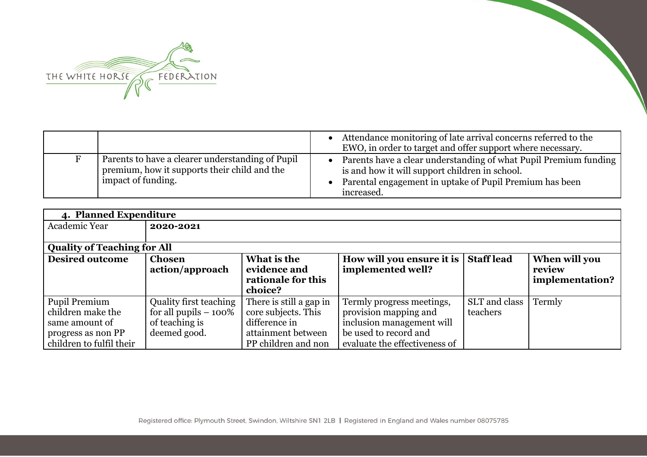

|                                                                                                                        | Attendance monitoring of late arrival concerns referred to the<br>EWO, in order to target and offer support where necessary.                                                                |
|------------------------------------------------------------------------------------------------------------------------|---------------------------------------------------------------------------------------------------------------------------------------------------------------------------------------------|
| Parents to have a clearer understanding of Pupil<br>premium, how it supports their child and the<br>impact of funding. | Parents have a clear understanding of what Pupil Premium funding<br>is and how it will support children in school.<br>Parental engagement in uptake of Pupil Premium has been<br>increased. |

| 4. Planned Expenditure             |                                  |                                                              |                                                |                   |                                            |
|------------------------------------|----------------------------------|--------------------------------------------------------------|------------------------------------------------|-------------------|--------------------------------------------|
| Academic Year                      | 2020-2021                        |                                                              |                                                |                   |                                            |
|                                    |                                  |                                                              |                                                |                   |                                            |
| <b>Quality of Teaching for All</b> |                                  |                                                              |                                                |                   |                                            |
| <b>Desired outcome</b>             | <b>Chosen</b><br>action/approach | What is the<br>evidence and<br>rationale for this<br>choice? | How will you ensure it is<br>implemented well? | <b>Staff lead</b> | When will you<br>review<br>implementation? |
| Pupil Premium                      | Quality first teaching           | There is still a gap in                                      | Termly progress meetings,                      | SLT and class     | Termly                                     |
| children make the                  | for all pupils $-100\%$          | core subjects. This                                          | provision mapping and                          | teachers          |                                            |
| same amount of                     | of teaching is                   | difference in                                                | inclusion management will                      |                   |                                            |
| progress as non PP                 | deemed good.                     | attainment between                                           | be used to record and                          |                   |                                            |
| children to fulfil their           |                                  | PP children and non                                          | evaluate the effectiveness of                  |                   |                                            |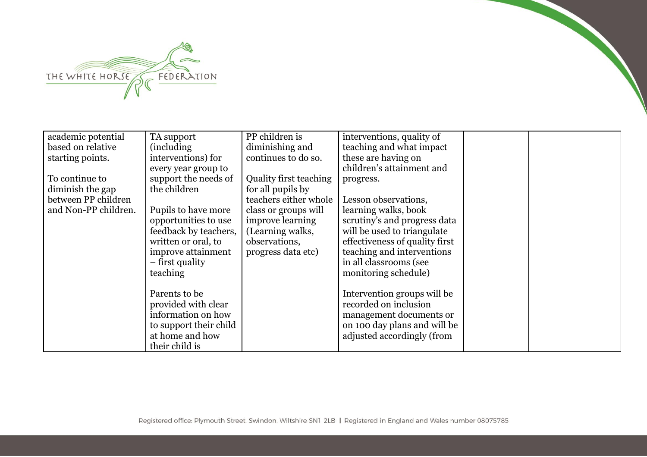

| academic potential   | TA support             | PP children is                | interventions, quality of      |  |
|----------------------|------------------------|-------------------------------|--------------------------------|--|
| based on relative    | (including)            | diminishing and               | teaching and what impact       |  |
| starting points.     | interventions) for     | continues to do so.           | these are having on            |  |
|                      | every year group to    |                               | children's attainment and      |  |
| To continue to       | support the needs of   | <b>Quality first teaching</b> | progress.                      |  |
| diminish the gap     | the children           | for all pupils by             |                                |  |
| between PP children  |                        | teachers either whole         | Lesson observations,           |  |
| and Non-PP children. | Pupils to have more    | class or groups will          | learning walks, book           |  |
|                      | opportunities to use   | improve learning              | scrutiny's and progress data   |  |
|                      | feedback by teachers,  | (Learning walks,              | will be used to triangulate    |  |
|                      | written or oral, to    | observations,                 | effectiveness of quality first |  |
|                      | improve attainment     | progress data etc)            | teaching and interventions     |  |
|                      | – first quality        |                               | in all classrooms (see         |  |
|                      | teaching               |                               | monitoring schedule)           |  |
|                      |                        |                               |                                |  |
|                      | Parents to be          |                               | Intervention groups will be    |  |
|                      | provided with clear    |                               | recorded on inclusion          |  |
|                      | information on how     |                               | management documents or        |  |
|                      | to support their child |                               | on 100 day plans and will be   |  |
|                      | at home and how        |                               | adjusted accordingly (from     |  |
|                      | their child is         |                               |                                |  |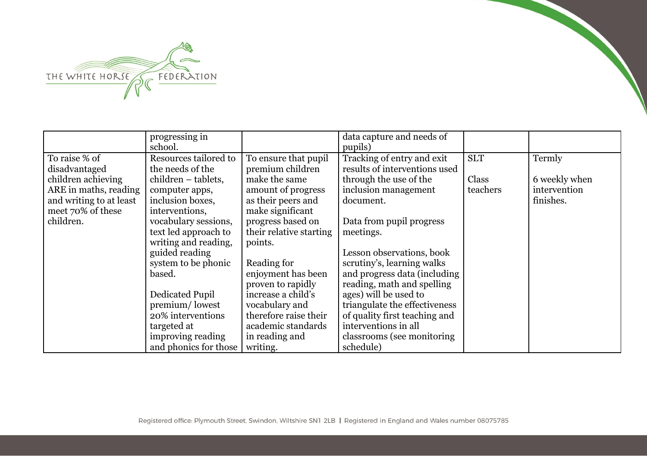

|                                                                               | progressing in<br>school.                                                                                                    |                                                                                                   | data capture and needs of<br>pupils)                                                                                                               |                                 |                                         |
|-------------------------------------------------------------------------------|------------------------------------------------------------------------------------------------------------------------------|---------------------------------------------------------------------------------------------------|----------------------------------------------------------------------------------------------------------------------------------------------------|---------------------------------|-----------------------------------------|
| To raise % of<br>disadvantaged<br>children achieving<br>ARE in maths, reading | Resources tailored to<br>the needs of the<br>children – tablets,<br>computer apps,                                           | To ensure that pupil<br>premium children<br>make the same<br>amount of progress                   | Tracking of entry and exit<br>results of interventions used<br>through the use of the<br>inclusion management                                      | <b>SLT</b><br>Class<br>teachers | Termly<br>6 weekly when<br>intervention |
| and writing to at least<br>meet 70% of these<br>children.                     | inclusion boxes,<br>interventions,<br>vocabulary sessions,<br>text led approach to<br>writing and reading,<br>guided reading | as their peers and<br>make significant<br>progress based on<br>their relative starting<br>points. | document.<br>Data from pupil progress<br>meetings.<br>Lesson observations, book                                                                    |                                 | finishes.                               |
|                                                                               | system to be phonic<br>based.<br>Dedicated Pupil<br>premium/lowest                                                           | Reading for<br>enjoyment has been<br>proven to rapidly<br>increase a child's<br>vocabulary and    | scrutiny's, learning walks<br>and progress data (including<br>reading, math and spelling<br>ages) will be used to<br>triangulate the effectiveness |                                 |                                         |
|                                                                               | 20% interventions<br>targeted at<br>improving reading<br>and phonics for those                                               | therefore raise their<br>academic standards<br>in reading and<br>writing.                         | of quality first teaching and<br>interventions in all<br>classrooms (see monitoring)<br>schedule)                                                  |                                 |                                         |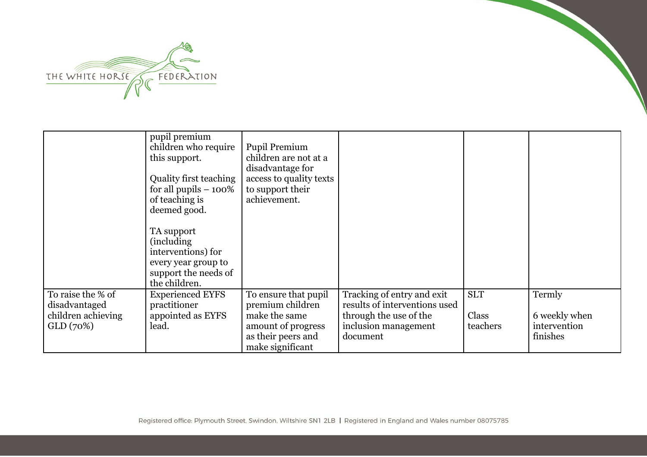

|                                                                       | pupil premium<br>children who require<br>this support.<br>Quality first teaching<br>for all pupils $-100\%$<br>of teaching is<br>deemed good.<br>TA support<br><i>(including)</i><br>interventions) for<br>every year group to<br>support the needs of<br>the children. | Pupil Premium<br>children are not at a<br>disadvantage for<br>access to quality texts<br>to support their<br>achievement. |                                                                                                                           |                                 |                                                     |
|-----------------------------------------------------------------------|-------------------------------------------------------------------------------------------------------------------------------------------------------------------------------------------------------------------------------------------------------------------------|---------------------------------------------------------------------------------------------------------------------------|---------------------------------------------------------------------------------------------------------------------------|---------------------------------|-----------------------------------------------------|
| To raise the % of<br>disadvantaged<br>children achieving<br>GLD (70%) | <b>Experienced EYFS</b><br>practitioner<br>appointed as EYFS<br>lead.                                                                                                                                                                                                   | To ensure that pupil<br>premium children<br>make the same<br>amount of progress<br>as their peers and<br>make significant | Tracking of entry and exit<br>results of interventions used<br>through the use of the<br>inclusion management<br>document | <b>SLT</b><br>Class<br>teachers | Termly<br>6 weekly when<br>intervention<br>finishes |

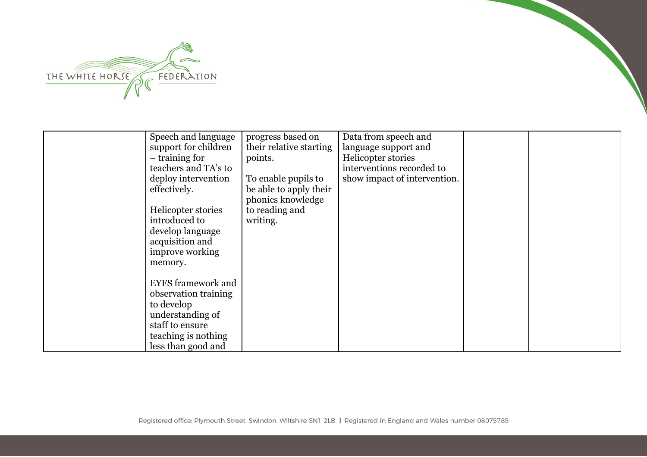

| Speech and language       | progress based on       | Data from speech and         |  |
|---------------------------|-------------------------|------------------------------|--|
| support for children      | their relative starting | language support and         |  |
| $-$ training for          | points.                 | Helicopter stories           |  |
| teachers and TA's to      |                         | interventions recorded to    |  |
| deploy intervention       | To enable pupils to     | show impact of intervention. |  |
| effectively.              | be able to apply their  |                              |  |
|                           | phonics knowledge       |                              |  |
| Helicopter stories        | to reading and          |                              |  |
| introduced to             | writing.                |                              |  |
| develop language          |                         |                              |  |
| acquisition and           |                         |                              |  |
| improve working           |                         |                              |  |
| memory.                   |                         |                              |  |
|                           |                         |                              |  |
| <b>EYFS</b> framework and |                         |                              |  |
| observation training      |                         |                              |  |
| to develop                |                         |                              |  |
| understanding of          |                         |                              |  |
| staff to ensure           |                         |                              |  |
| teaching is nothing       |                         |                              |  |
|                           |                         |                              |  |
| less than good and        |                         |                              |  |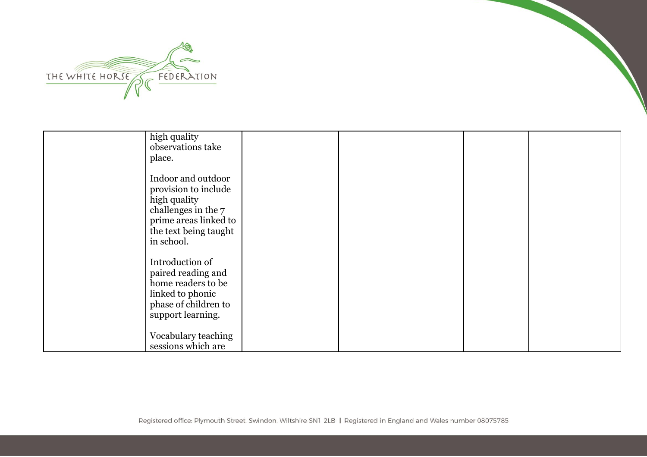

| high quality<br>observations take<br>place.                                                                                                       |  |  |
|---------------------------------------------------------------------------------------------------------------------------------------------------|--|--|
| Indoor and outdoor<br>provision to include<br>high quality<br>challenges in the 7<br>prime areas linked to<br>the text being taught<br>in school. |  |  |
| Introduction of<br>paired reading and<br>home readers to be<br>linked to phonic<br>phase of children to<br>support learning.                      |  |  |
| Vocabulary teaching<br>sessions which are                                                                                                         |  |  |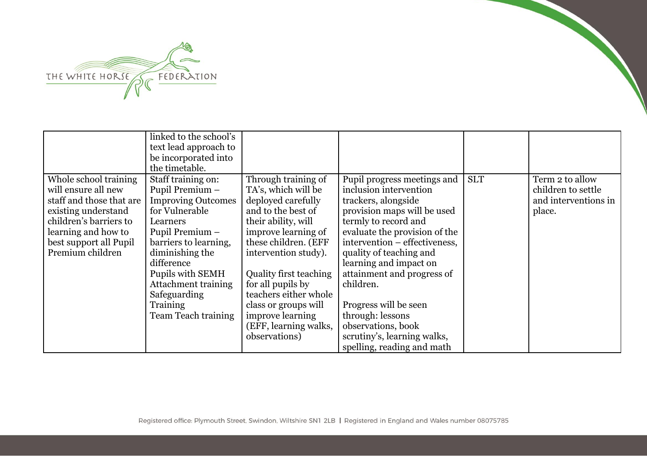

|                                                                                                                                                                                                | linked to the school's<br>text lead approach to<br>be incorporated into<br>the timetable.                                                                                                                                                                                                 |                                                                                                                                                                                                                                                                                                                                                           |                                                                                                                                                                                                                                                                                                                                                                                                         |            |                                                                         |
|------------------------------------------------------------------------------------------------------------------------------------------------------------------------------------------------|-------------------------------------------------------------------------------------------------------------------------------------------------------------------------------------------------------------------------------------------------------------------------------------------|-----------------------------------------------------------------------------------------------------------------------------------------------------------------------------------------------------------------------------------------------------------------------------------------------------------------------------------------------------------|---------------------------------------------------------------------------------------------------------------------------------------------------------------------------------------------------------------------------------------------------------------------------------------------------------------------------------------------------------------------------------------------------------|------------|-------------------------------------------------------------------------|
| Whole school training<br>will ensure all new<br>staff and those that are<br>existing understand<br>children's barriers to<br>learning and how to<br>best support all Pupil<br>Premium children | Staff training on:<br>Pupil Premium -<br><b>Improving Outcomes</b><br>for Vulnerable<br>Learners<br>Pupil Premium -<br>barriers to learning,<br>diminishing the<br>difference<br>Pupils with SEMH<br><b>Attachment training</b><br>Safeguarding<br>Training<br><b>Team Teach training</b> | Through training of<br>TA's, which will be<br>deployed carefully<br>and to the best of<br>their ability, will<br>improve learning of<br>these children. (EFF<br>intervention study).<br><b>Quality first teaching</b><br>for all pupils by<br>teachers either whole<br>class or groups will<br>improve learning<br>(EFF, learning walks,<br>observations) | Pupil progress meetings and<br>inclusion intervention<br>trackers, alongside<br>provision maps will be used<br>termly to record and<br>evaluate the provision of the<br>intervention – effectiveness,<br>quality of teaching and<br>learning and impact on<br>attainment and progress of<br>children.<br>Progress will be seen<br>through: lessons<br>observations, book<br>scrutiny's, learning walks, | <b>SLT</b> | Term 2 to allow<br>children to settle<br>and interventions in<br>place. |
|                                                                                                                                                                                                |                                                                                                                                                                                                                                                                                           |                                                                                                                                                                                                                                                                                                                                                           | spelling, reading and math                                                                                                                                                                                                                                                                                                                                                                              |            |                                                                         |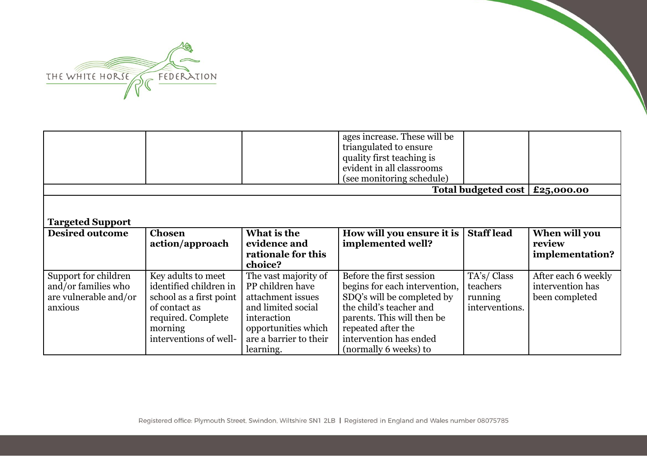

|                                                                                 |                                                                                                                                                     |                                                                                                                                                                  | ages increase. These will be<br>triangulated to ensure<br>quality first teaching is<br>evident in all classrooms                                                                                                          |                                                     |                                                           |
|---------------------------------------------------------------------------------|-----------------------------------------------------------------------------------------------------------------------------------------------------|------------------------------------------------------------------------------------------------------------------------------------------------------------------|---------------------------------------------------------------------------------------------------------------------------------------------------------------------------------------------------------------------------|-----------------------------------------------------|-----------------------------------------------------------|
|                                                                                 |                                                                                                                                                     |                                                                                                                                                                  | (see monitoring schedule)                                                                                                                                                                                                 |                                                     |                                                           |
|                                                                                 |                                                                                                                                                     |                                                                                                                                                                  |                                                                                                                                                                                                                           | Total budgeted cost $\vert$ £25,000.00              |                                                           |
| <b>Targeted Support</b>                                                         |                                                                                                                                                     |                                                                                                                                                                  |                                                                                                                                                                                                                           |                                                     |                                                           |
| <b>Desired outcome</b>                                                          | <b>Chosen</b><br>action/approach                                                                                                                    | What is the<br>evidence and<br>rationale for this<br>choice?                                                                                                     | How will you ensure it is<br>implemented well?                                                                                                                                                                            | <b>Staff</b> lead                                   | When will you<br>review<br>implementation?                |
| Support for children<br>and/or families who<br>are vulnerable and/or<br>anxious | Key adults to meet<br>identified children in<br>school as a first point<br>of contact as<br>required. Complete<br>morning<br>interventions of well- | The vast majority of<br>PP children have<br>attachment issues<br>and limited social<br>interaction<br>opportunities which<br>are a barrier to their<br>learning. | Before the first session<br>begins for each intervention,<br>SDQ's will be completed by<br>the child's teacher and<br>parents. This will then be<br>repeated after the<br>intervention has ended<br>(normally 6 weeks) to | TA's/Class<br>teachers<br>running<br>interventions. | After each 6 weekly<br>intervention has<br>been completed |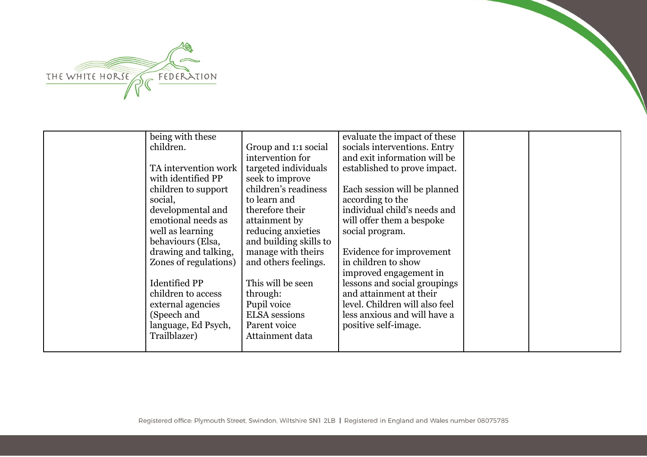

| being with these      |                        | evaluate the impact of these   |  |
|-----------------------|------------------------|--------------------------------|--|
| children.             | Group and 1:1 social   | socials interventions. Entry   |  |
|                       | intervention for       | and exit information will be   |  |
| TA intervention work  | targeted individuals   | established to prove impact.   |  |
| with identified PP    | seek to improve        |                                |  |
| children to support   | children's readiness   | Each session will be planned   |  |
| social,               | to learn and           | according to the               |  |
| developmental and     | therefore their        | individual child's needs and   |  |
| emotional needs as    | attainment by          | will offer them a bespoke      |  |
| well as learning      | reducing anxieties     | social program.                |  |
| behaviours (Elsa,     | and building skills to |                                |  |
| drawing and talking,  | manage with theirs     | Evidence for improvement       |  |
| Zones of regulations) | and others feelings.   | in children to show            |  |
|                       |                        | improved engagement in         |  |
| <b>Identified PP</b>  | This will be seen      | lessons and social groupings   |  |
| children to access    | through:               | and attainment at their        |  |
| external agencies     | Pupil voice            | level. Children will also feel |  |
| (Speech and           | <b>ELSA</b> sessions   | less anxious and will have a   |  |
| language, Ed Psych,   | Parent voice           | positive self-image.           |  |
| Trailblazer)          | Attainment data        |                                |  |
|                       |                        |                                |  |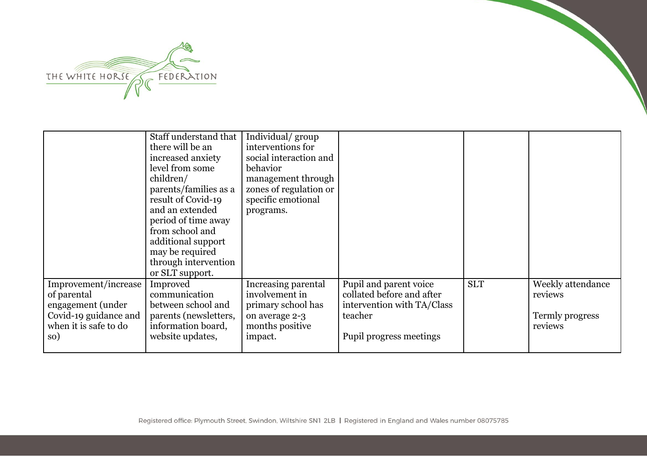

|                                                                                                                   | Staff understand that<br>there will be an<br>increased anxiety<br>level from some<br>children/<br>parents/families as a<br>result of Covid-19<br>and an extended<br>period of time away<br>from school and<br>additional support<br>may be required<br>through intervention<br>or SLT support. | Individual/group<br>interventions for<br>social interaction and<br>behavior<br>management through<br>zones of regulation or<br>specific emotional<br>programs. |                                                                                                                         |            |                                                            |
|-------------------------------------------------------------------------------------------------------------------|------------------------------------------------------------------------------------------------------------------------------------------------------------------------------------------------------------------------------------------------------------------------------------------------|----------------------------------------------------------------------------------------------------------------------------------------------------------------|-------------------------------------------------------------------------------------------------------------------------|------------|------------------------------------------------------------|
| Improvement/increase<br>of parental<br>engagement (under<br>Covid-19 guidance and<br>when it is safe to do<br>so) | Improved<br>communication<br>between school and<br>parents (newsletters,<br>information board,<br>website updates,                                                                                                                                                                             | Increasing parental<br>involvement in<br>primary school has<br>on average 2-3<br>months positive<br>impact.                                                    | Pupil and parent voice<br>collated before and after<br>intervention with TA/Class<br>teacher<br>Pupil progress meetings | <b>SLT</b> | Weekly attendance<br>reviews<br>Termly progress<br>reviews |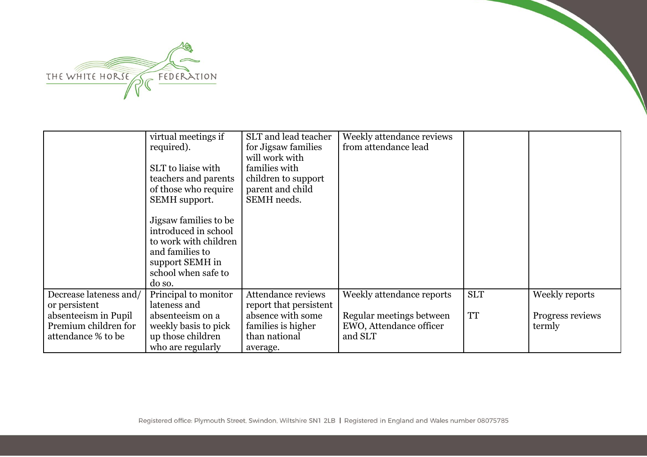

|                                                                                                               | virtual meetings if<br>required).<br>SLT to liaise with<br>teachers and parents<br>of those who require<br>SEMH support.<br>Jigsaw families to be<br>introduced in school<br>to work with children<br>and families to<br>support SEMH in<br>school when safe to<br>do so. | SLT and lead teacher<br>for Jigsaw families<br>will work with<br>families with<br>children to support<br>parent and child<br>SEMH needs. | Weekly attendance reviews<br>from attendance lead                                           |                         |                                              |
|---------------------------------------------------------------------------------------------------------------|---------------------------------------------------------------------------------------------------------------------------------------------------------------------------------------------------------------------------------------------------------------------------|------------------------------------------------------------------------------------------------------------------------------------------|---------------------------------------------------------------------------------------------|-------------------------|----------------------------------------------|
| Decrease lateness and/<br>or persistent<br>absenteeism in Pupil<br>Premium children for<br>attendance % to be | Principal to monitor<br>lateness and<br>absenteeism on a<br>weekly basis to pick<br>up those children<br>who are regularly                                                                                                                                                | Attendance reviews<br>report that persistent<br>absence with some<br>families is higher<br>than national<br>average.                     | Weekly attendance reports<br>Regular meetings between<br>EWO, Attendance officer<br>and SLT | <b>SLT</b><br><b>TT</b> | Weekly reports<br>Progress reviews<br>termly |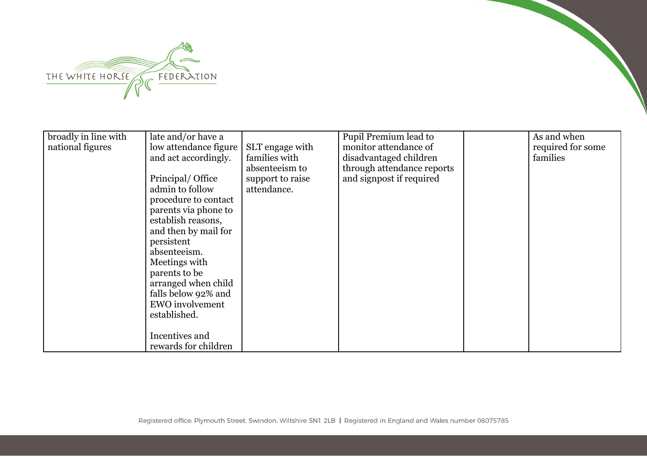

| broadly in line with | late and/or have a     |                  | Pupil Premium lead to      | As and when       |
|----------------------|------------------------|------------------|----------------------------|-------------------|
| national figures     | low attendance figure  | SLT engage with  | monitor attendance of      | required for some |
|                      | and act accordingly.   | families with    | disadvantaged children     | families          |
|                      |                        | absenteeism to   | through attendance reports |                   |
|                      | Principal/ Office      | support to raise | and signpost if required   |                   |
|                      | admin to follow        | attendance.      |                            |                   |
|                      | procedure to contact   |                  |                            |                   |
|                      | parents via phone to   |                  |                            |                   |
|                      | establish reasons,     |                  |                            |                   |
|                      | and then by mail for   |                  |                            |                   |
|                      | persistent             |                  |                            |                   |
|                      | absenteeism.           |                  |                            |                   |
|                      | Meetings with          |                  |                            |                   |
|                      | parents to be          |                  |                            |                   |
|                      | arranged when child    |                  |                            |                   |
|                      | falls below 92% and    |                  |                            |                   |
|                      | <b>EWO</b> involvement |                  |                            |                   |
|                      | established.           |                  |                            |                   |
|                      |                        |                  |                            |                   |
|                      | Incentives and         |                  |                            |                   |
|                      | rewards for children   |                  |                            |                   |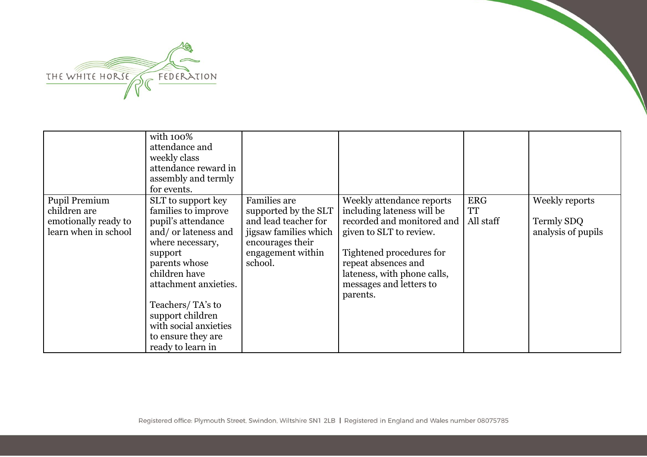

|                                                                               | with 100%<br>attendance and<br>weekly class<br>attendance reward in<br>assembly and termly<br>for events.                                                                                                                                                                                     |                                                                                                                                           |                                                                                                                                                                                                                                           |                                      |                                                    |
|-------------------------------------------------------------------------------|-----------------------------------------------------------------------------------------------------------------------------------------------------------------------------------------------------------------------------------------------------------------------------------------------|-------------------------------------------------------------------------------------------------------------------------------------------|-------------------------------------------------------------------------------------------------------------------------------------------------------------------------------------------------------------------------------------------|--------------------------------------|----------------------------------------------------|
| Pupil Premium<br>children are<br>emotionally ready to<br>learn when in school | SLT to support key<br>families to improve<br>pupil's attendance<br>and/ or lateness and<br>where necessary,<br>support<br>parents whose<br>children have<br>attachment anxieties.<br>Teachers/TA's to<br>support children<br>with social anxieties<br>to ensure they are<br>ready to learn in | Families are<br>supported by the SLT<br>and lead teacher for<br>jigsaw families which<br>encourages their<br>engagement within<br>school. | Weekly attendance reports<br>including lateness will be<br>recorded and monitored and<br>given to SLT to review.<br>Tightened procedures for<br>repeat absences and<br>lateness, with phone calls,<br>messages and letters to<br>parents. | <b>ERG</b><br><b>TT</b><br>All staff | Weekly reports<br>Termly SDQ<br>analysis of pupils |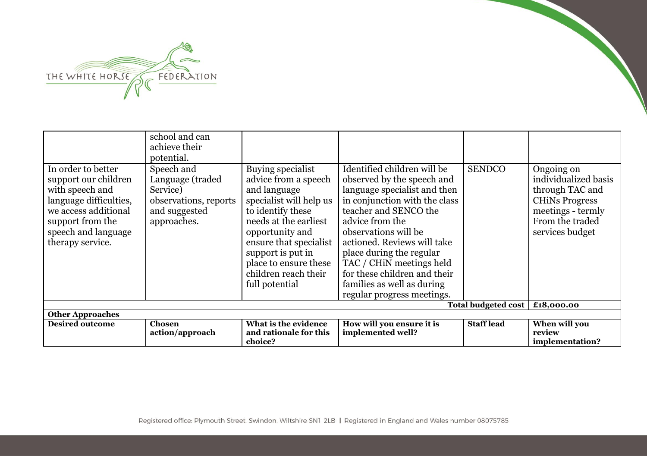

| In order to better                                                                                                                                       | school and can<br>achieve their<br>potential.                                                       |                                                                                                                                                                                                                                                                         | Identified children will be                                                                                                                                                                                                                                                                                                                        | <b>SENDCO</b>     |                                                                                                                                           |
|----------------------------------------------------------------------------------------------------------------------------------------------------------|-----------------------------------------------------------------------------------------------------|-------------------------------------------------------------------------------------------------------------------------------------------------------------------------------------------------------------------------------------------------------------------------|----------------------------------------------------------------------------------------------------------------------------------------------------------------------------------------------------------------------------------------------------------------------------------------------------------------------------------------------------|-------------------|-------------------------------------------------------------------------------------------------------------------------------------------|
| support our children<br>with speech and<br>language difficulties,<br>we access additional<br>support from the<br>speech and language<br>therapy service. | Speech and<br>Language (traded<br>Service)<br>observations, reports<br>and suggested<br>approaches. | Buying specialist<br>advice from a speech<br>and language<br>specialist will help us<br>to identify these<br>needs at the earliest<br>opportunity and<br>ensure that specialist<br>support is put in<br>place to ensure these<br>children reach their<br>full potential | observed by the speech and<br>language specialist and then<br>in conjunction with the class<br>teacher and SENCO the<br>advice from the<br>observations will be<br>actioned. Reviews will take<br>place during the regular<br>TAC / CHIN meetings held<br>for these children and their<br>families as well as during<br>regular progress meetings. |                   | Ongoing on<br>individualized basis<br>through TAC and<br><b>CHINS Progress</b><br>meetings - termly<br>From the traded<br>services budget |
|                                                                                                                                                          | £18,000.00                                                                                          |                                                                                                                                                                                                                                                                         |                                                                                                                                                                                                                                                                                                                                                    |                   |                                                                                                                                           |
| <b>Other Approaches</b>                                                                                                                                  |                                                                                                     |                                                                                                                                                                                                                                                                         |                                                                                                                                                                                                                                                                                                                                                    |                   |                                                                                                                                           |
| <b>Desired outcome</b>                                                                                                                                   | Chosen<br>action/approach                                                                           | What is the evidence<br>and rationale for this<br>choice?                                                                                                                                                                                                               | How will you ensure it is<br>implemented well?                                                                                                                                                                                                                                                                                                     | <b>Staff lead</b> | When will you<br>review<br>implementation?                                                                                                |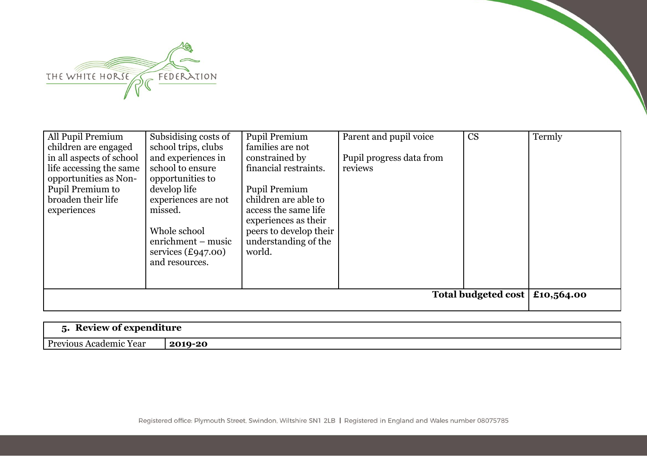

| All Pupil Premium                                                                                                                     | Subsidising costs of                                                                                                                                                                                      | Pupil Premium                                                                                                                                                                                | Parent and pupil voice              | CS | Termly |
|---------------------------------------------------------------------------------------------------------------------------------------|-----------------------------------------------------------------------------------------------------------------------------------------------------------------------------------------------------------|----------------------------------------------------------------------------------------------------------------------------------------------------------------------------------------------|-------------------------------------|----|--------|
| children are engaged                                                                                                                  | school trips, clubs                                                                                                                                                                                       | families are not                                                                                                                                                                             |                                     |    |        |
| in all aspects of school<br>life accessing the same<br>opportunities as Non-<br>Pupil Premium to<br>broaden their life<br>experiences | and experiences in<br>school to ensure<br>opportunities to<br>develop life<br>experiences are not<br>missed.<br>Whole school<br>enrichment – music<br>services $(\text{\pounds}947.00)$<br>and resources. | constrained by<br>financial restraints.<br>Pupil Premium<br>children are able to<br>access the same life<br>experiences as their<br>peers to develop their<br>understanding of the<br>world. | Pupil progress data from<br>reviews |    |        |
|                                                                                                                                       |                                                                                                                                                                                                           |                                                                                                                                                                                              |                                     |    |        |
|                                                                                                                                       | Total budgeted cost<br>£10,564.00                                                                                                                                                                         |                                                                                                                                                                                              |                                     |    |        |
|                                                                                                                                       |                                                                                                                                                                                                           |                                                                                                                                                                                              |                                     |    |        |

| D<br>$\overline{\phantom{0}}$<br>: expenditure<br>'AVIAW At<br>11 C<br>$\cdot$<br>$\sim$ |         |
|------------------------------------------------------------------------------------------|---------|
| $\mathbf{D}_{\mathbf{P}\Omega}$<br>Year<br>\cademic                                      | 2019-20 |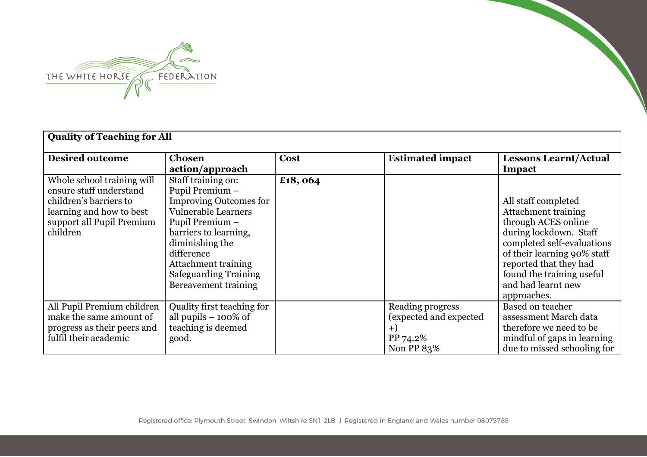

| <b>Quality of Teaching for All</b>                                                                                                                   |                                                                                                                                                                                                                                                                         |         |                                                                              |                                                                                                                                                                                                                                                             |  |  |
|------------------------------------------------------------------------------------------------------------------------------------------------------|-------------------------------------------------------------------------------------------------------------------------------------------------------------------------------------------------------------------------------------------------------------------------|---------|------------------------------------------------------------------------------|-------------------------------------------------------------------------------------------------------------------------------------------------------------------------------------------------------------------------------------------------------------|--|--|
| <b>Desired outcome</b>                                                                                                                               | <b>Chosen</b><br>action/approach                                                                                                                                                                                                                                        | Cost    | <b>Estimated impact</b>                                                      | <b>Lessons Learnt/Actual</b><br>Impact                                                                                                                                                                                                                      |  |  |
| Whole school training will<br>ensure staff understand<br>children's barriers to<br>learning and how to best<br>support all Pupil Premium<br>children | Staff training on:<br>Pupil Premium -<br><b>Improving Outcomes for</b><br><b>Vulnerable Learners</b><br>Pupil Premium -<br>barriers to learning,<br>diminishing the<br>difference<br><b>Attachment training</b><br><b>Safeguarding Training</b><br>Bereavement training | £18,064 |                                                                              | All staff completed<br><b>Attachment training</b><br>through ACES online<br>during lockdown. Staff<br>completed self-evaluations<br>of their learning 90% staff<br>reported that they had<br>found the training useful<br>and had learnt new<br>approaches. |  |  |
| All Pupil Premium children<br>make the same amount of<br>progress as their peers and<br>fulfil their academic                                        | Quality first teaching for<br>all pupils $-100\%$ of<br>teaching is deemed<br>good.                                                                                                                                                                                     |         | Reading progress<br>(expected and expected<br>$+)$<br>PP 74.2%<br>Non PP 83% | Based on teacher<br>assessment March data<br>therefore we need to be<br>mindful of gaps in learning<br>due to missed schooling for                                                                                                                          |  |  |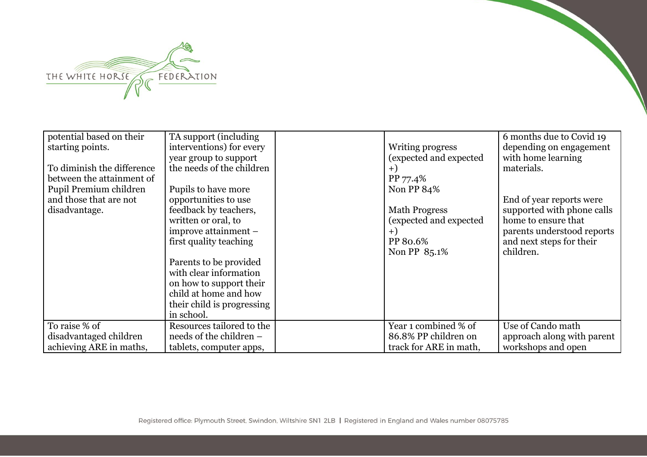

| potential based on their   | TA support (including      |                        | 6 months due to Covid 19   |
|----------------------------|----------------------------|------------------------|----------------------------|
| starting points.           | interventions) for every   | Writing progress       | depending on engagement    |
|                            | year group to support      | (expected and expected | with home learning         |
| To diminish the difference | the needs of the children  | $+1$                   | materials.                 |
| between the attainment of  |                            | PP 77.4%               |                            |
| Pupil Premium children     | Pupils to have more        | Non PP 84%             |                            |
| and those that are not     | opportunities to use       |                        | End of year reports were   |
| disadvantage.              | feedback by teachers,      | <b>Math Progress</b>   | supported with phone calls |
|                            | written or oral, to        | (expected and expected | home to ensure that        |
|                            | improve attainment -       | $+$                    | parents understood reports |
|                            | first quality teaching     | PP 80.6%               | and next steps for their   |
|                            |                            | Non PP 85.1%           | children.                  |
|                            | Parents to be provided     |                        |                            |
|                            | with clear information     |                        |                            |
|                            | on how to support their    |                        |                            |
|                            | child at home and how      |                        |                            |
|                            | their child is progressing |                        |                            |
|                            | in school.                 |                        |                            |
| To raise % of              | Resources tailored to the  | Year 1 combined % of   | Use of Cando math          |
| disadvantaged children     | needs of the children –    | 86.8% PP children on   | approach along with parent |
| achieving ARE in maths,    | tablets, computer apps,    | track for ARE in math, | workshops and open         |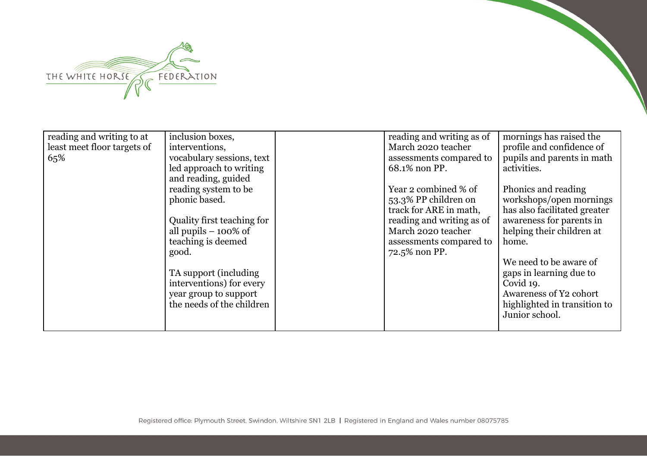

| reading and writing to at   | inclusion boxes,           | reading and writing as of | mornings has raised the      |
|-----------------------------|----------------------------|---------------------------|------------------------------|
| least meet floor targets of | interventions,             | March 2020 teacher        | profile and confidence of    |
| 65%                         | vocabulary sessions, text  | assessments compared to   | pupils and parents in math   |
|                             | led approach to writing    | 68.1% non PP.             | activities.                  |
|                             | and reading, guided        |                           |                              |
|                             | reading system to be       | Year 2 combined % of      | Phonics and reading          |
|                             | phonic based.              | 53.3% PP children on      | workshops/open mornings      |
|                             |                            | track for ARE in math,    | has also facilitated greater |
|                             | Quality first teaching for | reading and writing as of | awareness for parents in     |
|                             | all pupils $-100\%$ of     | March 2020 teacher        | helping their children at    |
|                             | teaching is deemed         | assessments compared to   | home.                        |
|                             | good.                      | 72.5% non PP.             |                              |
|                             |                            |                           | We need to be aware of       |
|                             | TA support (including)     |                           | gaps in learning due to      |
|                             | interventions) for every   |                           | Covid 19.                    |
|                             | year group to support      |                           | Awareness of Y2 cohort       |
|                             | the needs of the children  |                           | highlighted in transition to |
|                             |                            |                           | Junior school.               |
|                             |                            |                           |                              |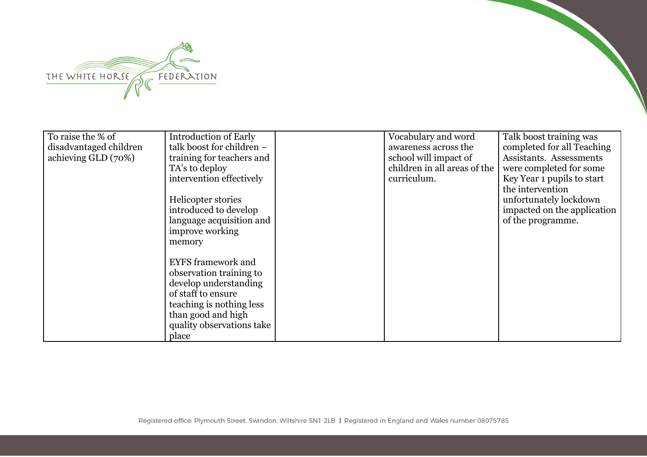

| To raise the % of      | <b>Introduction of Early</b> | Vocabulary and word          | Talk boost training was     |
|------------------------|------------------------------|------------------------------|-----------------------------|
| disadvantaged children | talk boost for children -    | awareness across the         | completed for all Teaching  |
| achieving GLD (70%)    | training for teachers and    | school will impact of        | Assistants. Assessments     |
|                        | TA's to deploy               | children in all areas of the | were completed for some     |
|                        | intervention effectively     | curriculum.                  | Key Year 1 pupils to start  |
|                        |                              |                              | the intervention            |
|                        | Helicopter stories           |                              | unfortunately lockdown      |
|                        | introduced to develop        |                              | impacted on the application |
|                        | language acquisition and     |                              | of the programme.           |
|                        | improve working              |                              |                             |
|                        | memory                       |                              |                             |
|                        |                              |                              |                             |
|                        | <b>EYFS</b> framework and    |                              |                             |
|                        | observation training to      |                              |                             |
|                        | develop understanding        |                              |                             |
|                        | of staff to ensure           |                              |                             |
|                        | teaching is nothing less     |                              |                             |
|                        | than good and high           |                              |                             |
|                        | quality observations take    |                              |                             |
|                        | place                        |                              |                             |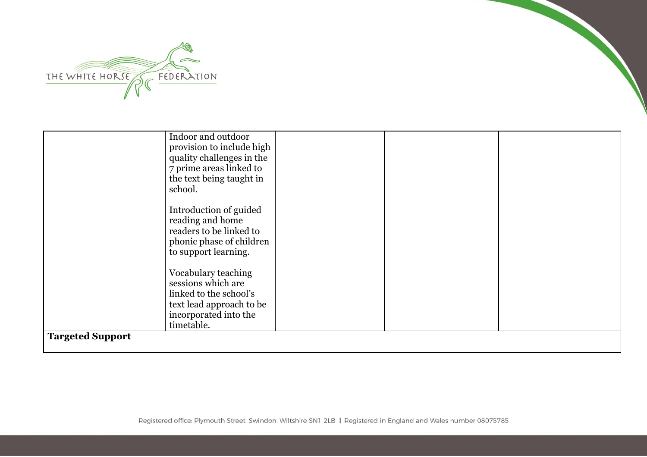

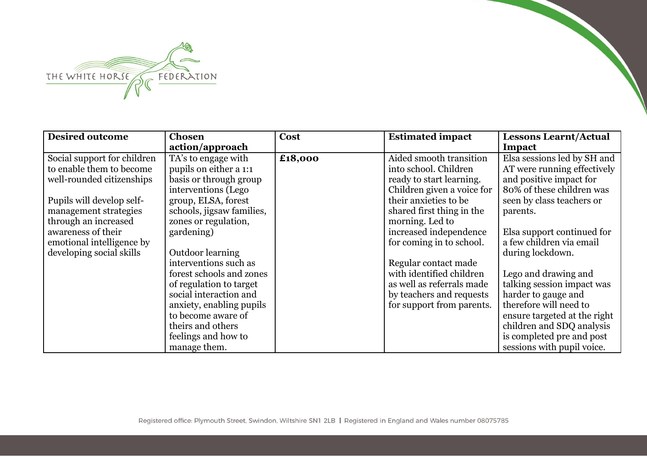

| <b>Desired outcome</b>      | <b>Chosen</b>             | Cost    | <b>Estimated impact</b>    | <b>Lessons Learnt/Actual</b> |
|-----------------------------|---------------------------|---------|----------------------------|------------------------------|
|                             | action/approach           |         |                            | Impact                       |
| Social support for children | TA's to engage with       | £18,000 | Aided smooth transition    | Elsa sessions led by SH and  |
| to enable them to become    | pupils on either a 1:1    |         | into school. Children      | AT were running effectively  |
| well-rounded citizenships   | basis or through group    |         | ready to start learning.   | and positive impact for      |
|                             | interventions (Lego       |         | Children given a voice for | 80% of these children was    |
| Pupils will develop self-   | group, ELSA, forest       |         | their anxieties to be      | seen by class teachers or    |
| management strategies       | schools, jigsaw families, |         | shared first thing in the  | parents.                     |
| through an increased        | zones or regulation,      |         | morning. Led to            |                              |
| awareness of their          | gardening)                |         | increased independence     | Elsa support continued for   |
| emotional intelligence by   |                           |         | for coming in to school.   | a few children via email     |
| developing social skills    | Outdoor learning          |         |                            | during lockdown.             |
|                             | interventions such as     |         | Regular contact made       |                              |
|                             | forest schools and zones  |         | with identified children   | Lego and drawing and         |
|                             | of regulation to target   |         | as well as referrals made  | talking session impact was   |
|                             | social interaction and    |         | by teachers and requests   | harder to gauge and          |
|                             | anxiety, enabling pupils  |         | for support from parents.  | therefore will need to       |
|                             | to become aware of        |         |                            | ensure targeted at the right |
|                             | theirs and others         |         |                            | children and SDQ analysis    |
|                             | feelings and how to       |         |                            | is completed pre and post    |
|                             | manage them.              |         |                            | sessions with pupil voice.   |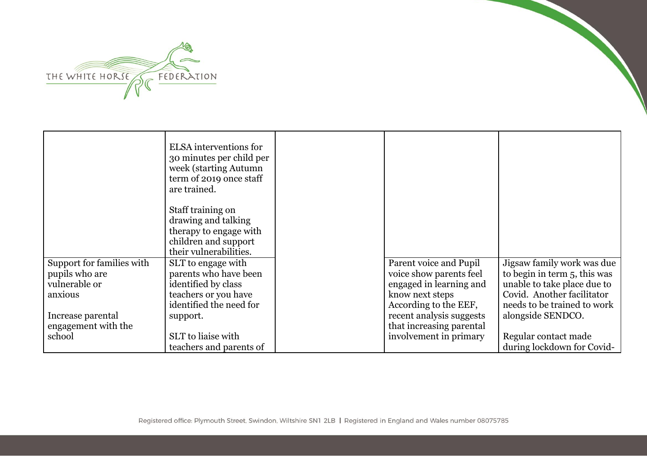

|                           | ELSA interventions for<br>30 minutes per child per<br>week (starting Autumn<br>term of 2019 once staff<br>are trained. |                          |                              |
|---------------------------|------------------------------------------------------------------------------------------------------------------------|--------------------------|------------------------------|
|                           | Staff training on                                                                                                      |                          |                              |
|                           | drawing and talking                                                                                                    |                          |                              |
|                           | therapy to engage with                                                                                                 |                          |                              |
|                           | children and support                                                                                                   |                          |                              |
|                           | their vulnerabilities.                                                                                                 |                          |                              |
| Support for families with | SLT to engage with                                                                                                     | Parent voice and Pupil   | Jigsaw family work was due   |
| pupils who are            | parents who have been                                                                                                  | voice show parents feel  | to begin in term 5, this was |
| vulnerable or             | identified by class                                                                                                    | engaged in learning and  | unable to take place due to  |
| anxious                   | teachers or you have                                                                                                   | know next steps          | Covid. Another facilitator   |
|                           | identified the need for                                                                                                | According to the EEF,    | needs to be trained to work  |
| Increase parental         | support.                                                                                                               | recent analysis suggests | alongside SENDCO.            |
| engagement with the       |                                                                                                                        | that increasing parental |                              |
| school                    | SLT to liaise with                                                                                                     | involvement in primary   | Regular contact made         |
|                           | teachers and parents of                                                                                                |                          | during lockdown for Covid-   |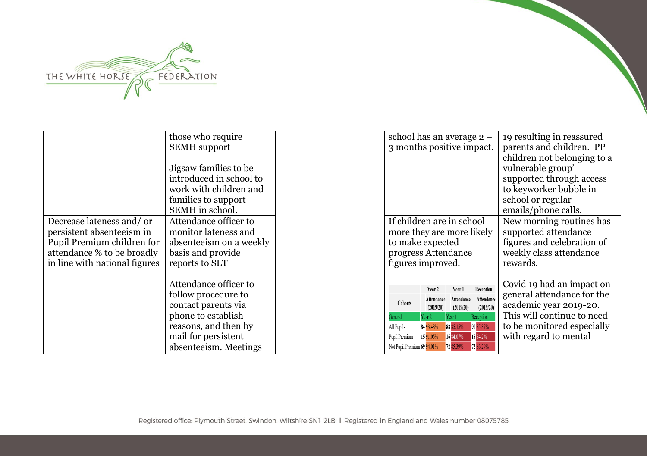

|                                                                                                                                                     | those who require<br><b>SEMH</b> support                                                                                                                          | school has an average 2 -<br>3 months positive impact.                                                                                                                                                                                                                                                                   | 19 resulting in reassured<br>parents and children. PP<br>children not belonging to a                                                                                   |
|-----------------------------------------------------------------------------------------------------------------------------------------------------|-------------------------------------------------------------------------------------------------------------------------------------------------------------------|--------------------------------------------------------------------------------------------------------------------------------------------------------------------------------------------------------------------------------------------------------------------------------------------------------------------------|------------------------------------------------------------------------------------------------------------------------------------------------------------------------|
|                                                                                                                                                     | Jigsaw families to be<br>introduced in school to<br>work with children and<br>families to support<br>SEMH in school.                                              |                                                                                                                                                                                                                                                                                                                          | vulnerable group'<br>supported through access<br>to keyworker bubble in<br>school or regular<br>emails/phone calls.                                                    |
| Decrease lateness and/ or<br>persistent absenteeism in<br>Pupil Premium children for<br>attendance % to be broadly<br>in line with national figures | Attendance officer to<br>monitor lateness and<br>absenteeism on a weekly<br>basis and provide<br>reports to SLT                                                   | If children are in school<br>more they are more likely<br>to make expected<br>progress Attendance<br>figures improved.                                                                                                                                                                                                   | New morning routines has<br>supported attendance<br>figures and celebration of<br>weekly class attendance<br>rewards.                                                  |
|                                                                                                                                                     | Attendance officer to<br>follow procedure to<br>contact parents via<br>phone to establish<br>reasons, and then by<br>mail for persistent<br>absenteeism. Meetings | Reception<br>Year 2<br>Year 1<br>Attendance<br>Attendance<br>Attendance<br>Cohorts<br>(2019/20)<br>(2019/20)<br>(2019/20)<br>Reception<br>Year 2<br>Year 1<br>90 85.87%<br>84 93.48%<br>88 85.15%<br>All Pupils<br>16 84.07% 18 84.2%<br>1591.05%<br>Pupil Premium<br>72 85.39% 72 86.29%<br>Not Pupil Premium 69 94.01% | Covid 19 had an impact on<br>general attendance for the<br>academic year 2019-20.<br>This will continue to need<br>to be monitored especially<br>with regard to mental |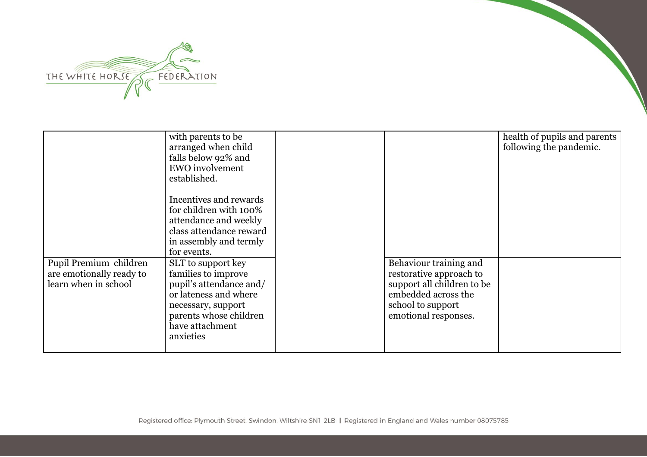

|                                                                            | with parents to be<br>arranged when child<br>falls below 92% and<br><b>EWO</b> involvement<br>established.                                                                    |                                                                                                                                                     | health of pupils and parents<br>following the pandemic. |
|----------------------------------------------------------------------------|-------------------------------------------------------------------------------------------------------------------------------------------------------------------------------|-----------------------------------------------------------------------------------------------------------------------------------------------------|---------------------------------------------------------|
|                                                                            | Incentives and rewards<br>for children with 100%<br>attendance and weekly<br>class attendance reward<br>in assembly and termly<br>for events.                                 |                                                                                                                                                     |                                                         |
| Pupil Premium children<br>are emotionally ready to<br>learn when in school | SLT to support key<br>families to improve<br>pupil's attendance and/<br>or lateness and where<br>necessary, support<br>parents whose children<br>have attachment<br>anxieties | Behaviour training and<br>restorative approach to<br>support all children to be<br>embedded across the<br>school to support<br>emotional responses. |                                                         |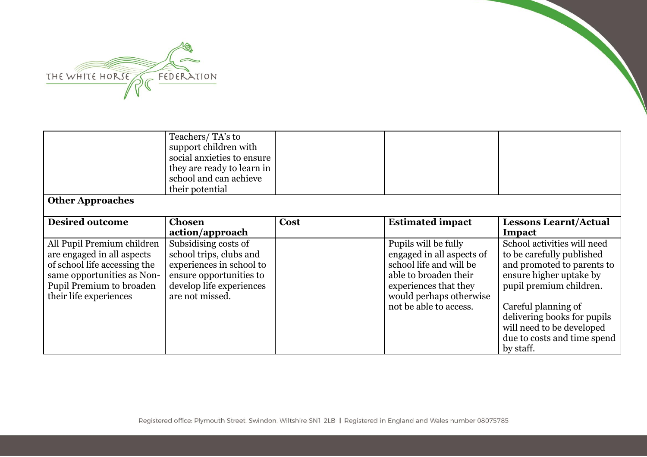

|                                                                                                                                                                              | Teachers/TA's to<br>support children with<br>social anxieties to ensure<br>they are ready to learn in<br>school and can achieve<br>their potential    |      |                                                                                                                                                                                     |                                                                                                                                                                                                                                                                             |
|------------------------------------------------------------------------------------------------------------------------------------------------------------------------------|-------------------------------------------------------------------------------------------------------------------------------------------------------|------|-------------------------------------------------------------------------------------------------------------------------------------------------------------------------------------|-----------------------------------------------------------------------------------------------------------------------------------------------------------------------------------------------------------------------------------------------------------------------------|
| <b>Other Approaches</b>                                                                                                                                                      |                                                                                                                                                       |      |                                                                                                                                                                                     |                                                                                                                                                                                                                                                                             |
| <b>Desired outcome</b>                                                                                                                                                       | <b>Chosen</b>                                                                                                                                         | Cost | <b>Estimated impact</b>                                                                                                                                                             | <b>Lessons Learnt/Actual</b>                                                                                                                                                                                                                                                |
|                                                                                                                                                                              | action/approach                                                                                                                                       |      |                                                                                                                                                                                     | Impact                                                                                                                                                                                                                                                                      |
| All Pupil Premium children<br>are engaged in all aspects<br>of school life accessing the<br>same opportunities as Non-<br>Pupil Premium to broaden<br>their life experiences | Subsidising costs of<br>school trips, clubs and<br>experiences in school to<br>ensure opportunities to<br>develop life experiences<br>are not missed. |      | Pupils will be fully<br>engaged in all aspects of<br>school life and will be<br>able to broaden their<br>experiences that they<br>would perhaps otherwise<br>not be able to access. | School activities will need<br>to be carefully published<br>and promoted to parents to<br>ensure higher uptake by<br>pupil premium children.<br>Careful planning of<br>delivering books for pupils<br>will need to be developed<br>due to costs and time spend<br>by staff. |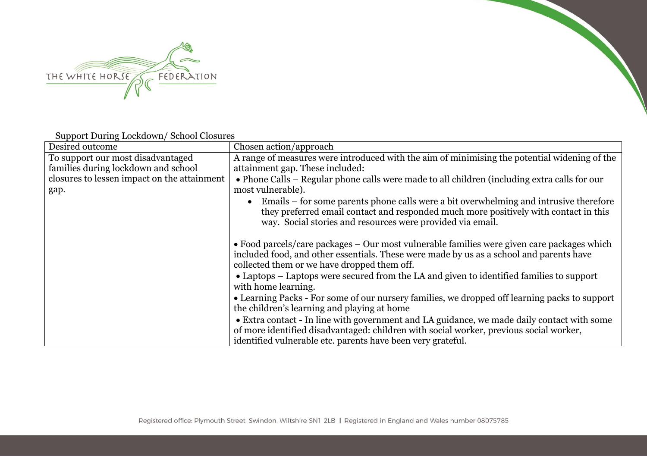

Support During Lockdown/ School Closures

| Desired outcome                             | Chosen action/approach                                                                                                                                                                                                                                   |
|---------------------------------------------|----------------------------------------------------------------------------------------------------------------------------------------------------------------------------------------------------------------------------------------------------------|
| To support our most disadvantaged           | A range of measures were introduced with the aim of minimising the potential widening of the                                                                                                                                                             |
| families during lockdown and school         | attainment gap. These included:                                                                                                                                                                                                                          |
| closures to lessen impact on the attainment | • Phone Calls – Regular phone calls were made to all children (including extra calls for our                                                                                                                                                             |
| gap.                                        | most vulnerable).                                                                                                                                                                                                                                        |
|                                             | Emails – for some parents phone calls were a bit overwhelming and intrusive therefore<br>$\bullet$<br>they preferred email contact and responded much more positively with contact in this<br>way. Social stories and resources were provided via email. |
|                                             | • Food parcels/care packages $-$ Our most vulnerable families were given care packages which<br>included food, and other essentials. These were made by us as a school and parents have<br>collected them or we have dropped them off.                   |
|                                             | • Laptops – Laptops were secured from the LA and given to identified families to support<br>with home learning.                                                                                                                                          |
|                                             | • Learning Packs - For some of our nursery families, we dropped off learning packs to support<br>the children's learning and playing at home                                                                                                             |
|                                             | • Extra contact - In line with government and LA guidance, we made daily contact with some<br>of more identified disadvantaged: children with social worker, previous social worker,<br>identified vulnerable etc. parents have been very grateful.      |